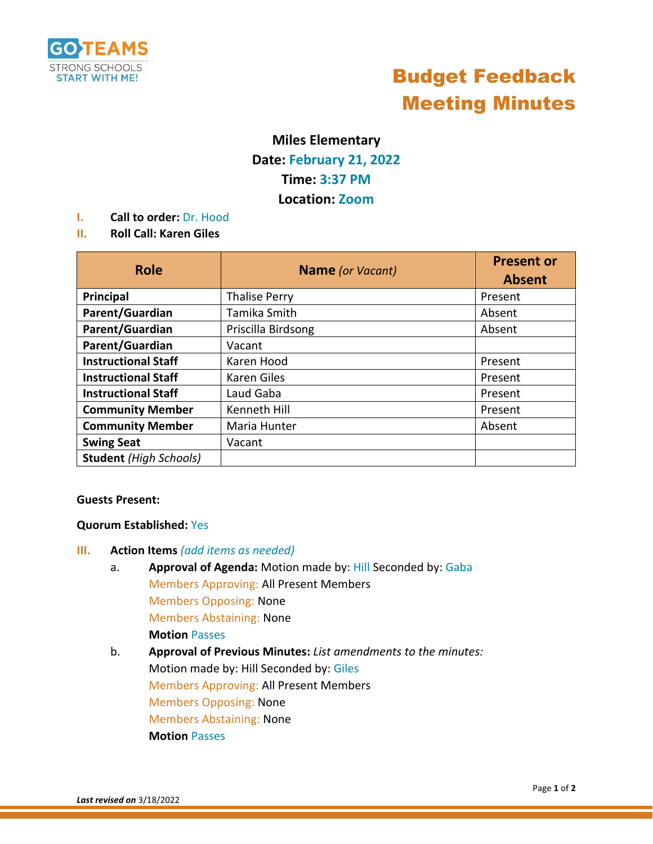

## Budget Feedback Meeting Minutes

### **Miles Elementary**

### **Date: February 21, 2022 Time: 3:37 PM**

**Location: Zoom** 

- **I. Call to order:** Dr. Hood
- **II. Roll Call: Karen Giles**

| <b>Role</b>                   | <b>Name</b> (or Vacant) | <b>Present or</b><br><b>Absent</b> |
|-------------------------------|-------------------------|------------------------------------|
| Principal                     | <b>Thalise Perry</b>    | Present                            |
| Parent/Guardian               | Tamika Smith            | Absent                             |
| Parent/Guardian               | Priscilla Birdsong      | Absent                             |
| Parent/Guardian               | Vacant                  |                                    |
| <b>Instructional Staff</b>    | Karen Hood              | Present                            |
| <b>Instructional Staff</b>    | Karen Giles             | Present                            |
| <b>Instructional Staff</b>    | Laud Gaba               | Present                            |
| <b>Community Member</b>       | Kenneth Hill            | Present                            |
| <b>Community Member</b>       | Maria Hunter            | Absent                             |
| <b>Swing Seat</b>             | Vacant                  |                                    |
| <b>Student</b> (High Schools) |                         |                                    |

#### **Guests Present:**

#### **Quorum Established:** Yes

#### **III. Action Items** *(add items as needed)*

- a. **Approval of Agenda:** Motion made by: Hill Seconded by: Gaba Members Approving: All Present Members Members Opposing: None Members Abstaining: None **Motion** Passes
- b. **Approval of Previous Minutes:** *List amendments to the minutes:* Motion made by: Hill Seconded by: Giles Members Approving: All Present Members Members Opposing: None Members Abstaining: None **Motion** Passes